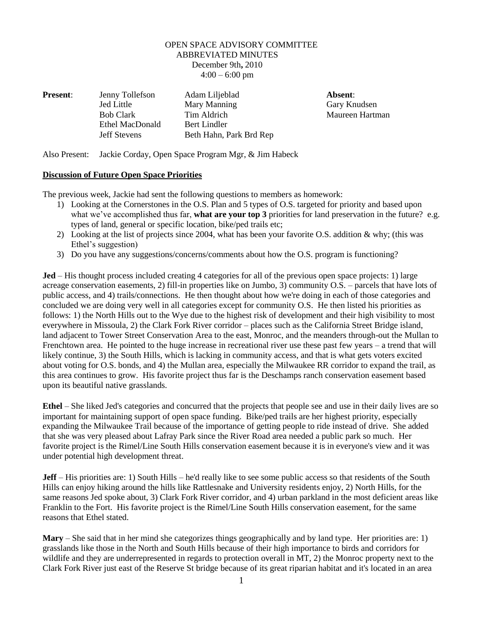## OPEN SPACE ADVISORY COMMITTEE ABBREVIATED MINUTES December 9th**,** 2010  $4:00 - 6:00$  pm

| <b>Present:</b> | Jenny Tollefson     | Adam Liljeblad          | Absent: |
|-----------------|---------------------|-------------------------|---------|
|                 | Jed Little          | Mary Manning            | Gary Kn |
|                 | <b>Bob Clark</b>    | Tim Aldrich             | Maureen |
|                 | Ethel MacDonald     | Bert Lindler            |         |
|                 | <b>Jeff Stevens</b> | Beth Hahn, Park Brd Rep |         |

Gary Knudsen **Maureen Hartman** 

Also Present: Jackie Corday, Open Space Program Mgr, & Jim Habeck

## **Discussion of Future Open Space Priorities**

The previous week, Jackie had sent the following questions to members as homework:

- 1) Looking at the Cornerstones in the O.S. Plan and 5 types of O.S. targeted for priority and based upon what we've accomplished thus far, **what are your top 3** priorities for land preservation in the future? e.g. types of land, general or specific location, bike/ped trails etc;
- 2) Looking at the list of projects since 2004, what has been your favorite O.S. addition & why; (this was Ethel's suggestion)
- 3) Do you have any suggestions/concerns/comments about how the O.S. program is functioning?

**Jed** – His thought process included creating 4 categories for all of the previous open space projects: 1) large acreage conservation easements, 2) fill-in properties like on Jumbo, 3) community O.S. – parcels that have lots of public access, and 4) trails/connections. He then thought about how we're doing in each of those categories and concluded we are doing very well in all categories except for community O.S. He then listed his priorities as follows: 1) the North Hills out to the Wye due to the highest risk of development and their high visibility to most everywhere in Missoula, 2) the Clark Fork River corridor – places such as the California Street Bridge island, land adjacent to Tower Street Conservation Area to the east, Monroc, and the meanders through-out the Mullan to Frenchtown area. He pointed to the huge increase in recreational river use these past few years – a trend that will likely continue, 3) the South Hills, which is lacking in community access, and that is what gets voters excited about voting for O.S. bonds, and 4) the Mullan area, especially the Milwaukee RR corridor to expand the trail, as this area continues to grow. His favorite project thus far is the Deschamps ranch conservation easement based upon its beautiful native grasslands.

**Ethel** – She liked Jed's categories and concurred that the projects that people see and use in their daily lives are so important for maintaining support of open space funding. Bike/ped trails are her highest priority, especially expanding the Milwaukee Trail because of the importance of getting people to ride instead of drive. She added that she was very pleased about Lafray Park since the River Road area needed a public park so much. Her favorite project is the Rimel/Line South Hills conservation easement because it is in everyone's view and it was under potential high development threat.

**Jeff** – His priorities are: 1) South Hills – he'd really like to see some public access so that residents of the South Hills can enjoy hiking around the hills like Rattlesnake and University residents enjoy, 2) North Hills, for the same reasons Jed spoke about, 3) Clark Fork River corridor, and 4) urban parkland in the most deficient areas like Franklin to the Fort. His favorite project is the Rimel/Line South Hills conservation easement, for the same reasons that Ethel stated.

**Mary** – She said that in her mind she categorizes things geographically and by land type. Her priorities are: 1) grasslands like those in the North and South Hills because of their high importance to birds and corridors for wildlife and they are underrepresented in regards to protection overall in MT, 2) the Monroc property next to the Clark Fork River just east of the Reserve St bridge because of its great riparian habitat and it's located in an area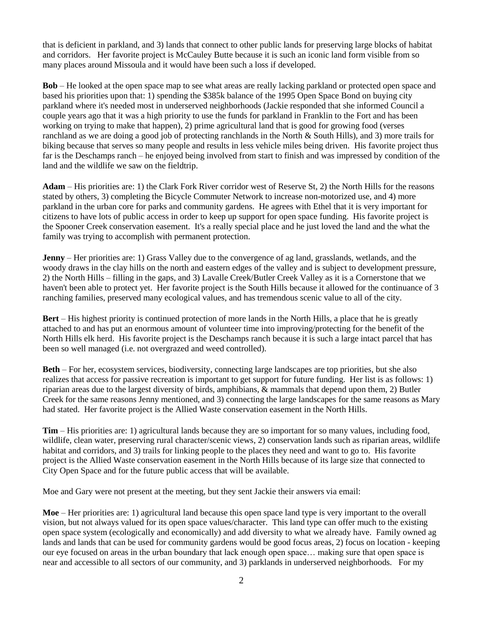that is deficient in parkland, and 3) lands that connect to other public lands for preserving large blocks of habitat and corridors. Her favorite project is McCauley Butte because it is such an iconic land form visible from so many places around Missoula and it would have been such a loss if developed.

**Bob** – He looked at the open space map to see what areas are really lacking parkland or protected open space and based his priorities upon that: 1) spending the \$385k balance of the 1995 Open Space Bond on buying city parkland where it's needed most in underserved neighborhoods (Jackie responded that she informed Council a couple years ago that it was a high priority to use the funds for parkland in Franklin to the Fort and has been working on trying to make that happen), 2) prime agricultural land that is good for growing food (verses ranchland as we are doing a good job of protecting ranchlands in the North & South Hills), and 3) more trails for biking because that serves so many people and results in less vehicle miles being driven. His favorite project thus far is the Deschamps ranch – he enjoyed being involved from start to finish and was impressed by condition of the land and the wildlife we saw on the fieldtrip.

**Adam** – His priorities are: 1) the Clark Fork River corridor west of Reserve St, 2) the North Hills for the reasons stated by others, 3) completing the Bicycle Commuter Network to increase non-motorized use, and 4) more parkland in the urban core for parks and community gardens. He agrees with Ethel that it is very important for citizens to have lots of public access in order to keep up support for open space funding. His favorite project is the Spooner Creek conservation easement. It's a really special place and he just loved the land and the what the family was trying to accomplish with permanent protection.

**Jenny** – Her priorities are: 1) Grass Valley due to the convergence of ag land, grasslands, wetlands, and the woody draws in the clay hills on the north and eastern edges of the valley and is subject to development pressure, 2) the North Hills – filling in the gaps, and 3) Lavalle Creek/Butler Creek Valley as it is a Cornerstone that we haven't been able to protect yet. Her favorite project is the South Hills because it allowed for the continuance of 3 ranching families, preserved many ecological values, and has tremendous scenic value to all of the city.

**Bert** – His highest priority is continued protection of more lands in the North Hills, a place that he is greatly attached to and has put an enormous amount of volunteer time into improving/protecting for the benefit of the North Hills elk herd. His favorite project is the Deschamps ranch because it is such a large intact parcel that has been so well managed (i.e. not overgrazed and weed controlled).

**Beth** – For her, ecosystem services, biodiversity, connecting large landscapes are top priorities, but she also realizes that access for passive recreation is important to get support for future funding. Her list is as follows: 1) riparian areas due to the largest diversity of birds, amphibians, & mammals that depend upon them, 2) Butler Creek for the same reasons Jenny mentioned, and 3) connecting the large landscapes for the same reasons as Mary had stated. Her favorite project is the Allied Waste conservation easement in the North Hills.

**Tim** – His priorities are: 1) agricultural lands because they are so important for so many values, including food, wildlife, clean water, preserving rural character/scenic views, 2) conservation lands such as riparian areas, wildlife habitat and corridors, and 3) trails for linking people to the places they need and want to go to. His favorite project is the Allied Waste conservation easement in the North Hills because of its large size that connected to City Open Space and for the future public access that will be available.

Moe and Gary were not present at the meeting, but they sent Jackie their answers via email:

**Moe** – Her priorities are: 1) agricultural land because this open space land type is very important to the overall vision, but not always valued for its open space values/character. This land type can offer much to the existing open space system (ecologically and economically) and add diversity to what we already have. Family owned ag lands and lands that can be used for community gardens would be good focus areas, 2) focus on location - keeping our eye focused on areas in the urban boundary that lack enough open space… making sure that open space is near and accessible to all sectors of our community, and 3) parklands in underserved neighborhoods. For my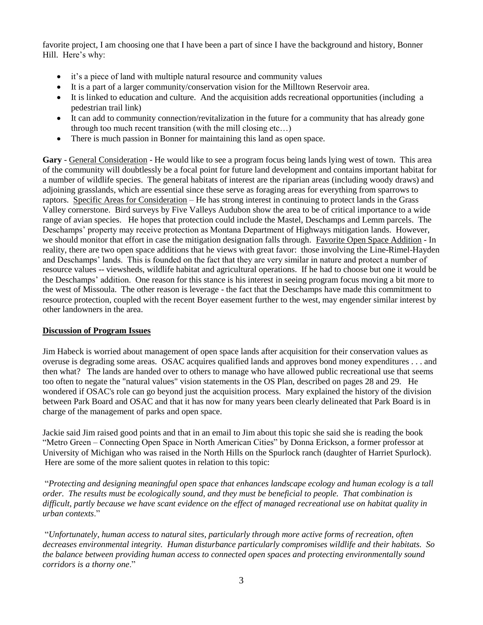favorite project, I am choosing one that I have been a part of since I have the background and history, Bonner Hill. Here's why:

- it's a piece of land with multiple natural resource and community values
- It is a part of a larger community/conservation vision for the Milltown Reservoir area.
- It is linked to education and culture. And the acquisition adds recreational opportunities (including a pedestrian trail link)
- It can add to community connection/revitalization in the future for a community that has already gone through too much recent transition (with the mill closing etc…)
- There is much passion in Bonner for maintaining this land as open space.

**Gary** - General Consideration - He would like to see a program focus being lands lying west of town. This area of the community will doubtlessly be a focal point for future land development and contains important habitat for a number of wildlife species. The general habitats of interest are the riparian areas (including woody draws) and adjoining grasslands, which are essential since these serve as foraging areas for everything from sparrows to raptors. Specific Areas for Consideration – He has strong interest in continuing to protect lands in the Grass Valley cornerstone. Bird surveys by Five Valleys Audubon show the area to be of critical importance to a wide range of avian species. He hopes that protection could include the Mastel, Deschamps and Lemm parcels. The Deschamps' property may receive protection as Montana Department of Highways mitigation lands. However, we should monitor that effort in case the mitigation designation falls through. Favorite Open Space Addition - In reality, there are two open space additions that he views with great favor: those involving the Line-Rimel-Hayden and Deschamps' lands. This is founded on the fact that they are very similar in nature and protect a number of resource values -- viewsheds, wildlife habitat and agricultural operations. If he had to choose but one it would be the Deschamps' addition. One reason for this stance is his interest in seeing program focus moving a bit more to the west of Missoula. The other reason is leverage - the fact that the Deschamps have made this commitment to resource protection, coupled with the recent Boyer easement further to the west, may engender similar interest by other landowners in the area.

## **Discussion of Program Issues**

Jim Habeck is worried about management of open space lands after acquisition for their conservation values as overuse is degrading some areas. OSAC acquires qualified lands and approves bond money expenditures . . . and then what? The lands are handed over to others to manage who have allowed public recreational use that seems too often to negate the "natural values" vision statements in the OS Plan, described on pages 28 and 29. He wondered if OSAC's role can go beyond just the acquisition process. Mary explained the history of the division between Park Board and OSAC and that it has now for many years been clearly delineated that Park Board is in charge of the management of parks and open space.

Jackie said Jim raised good points and that in an email to Jim about this topic she said she is reading the book "Metro Green – Connecting Open Space in North American Cities" by Donna Erickson, a former professor at University of Michigan who was raised in the North Hills on the Spurlock ranch (daughter of Harriet Spurlock). Here are some of the more salient quotes in relation to this topic:

―*Protecting and designing meaningful open space that enhances landscape ecology and human ecology is a tall order. The results must be ecologically sound, and they must be beneficial to people. That combination is difficult, partly because we have scant evidence on the effect of managed recreational use on habitat quality in urban contexts*.‖

―*Unfortunately, human access to natural sites, particularly through more active forms of recreation, often decreases environmental integrity. Human disturbance particularly compromises wildlife and their habitats. So the balance between providing human access to connected open spaces and protecting environmentally sound corridors is a thorny one*.‖